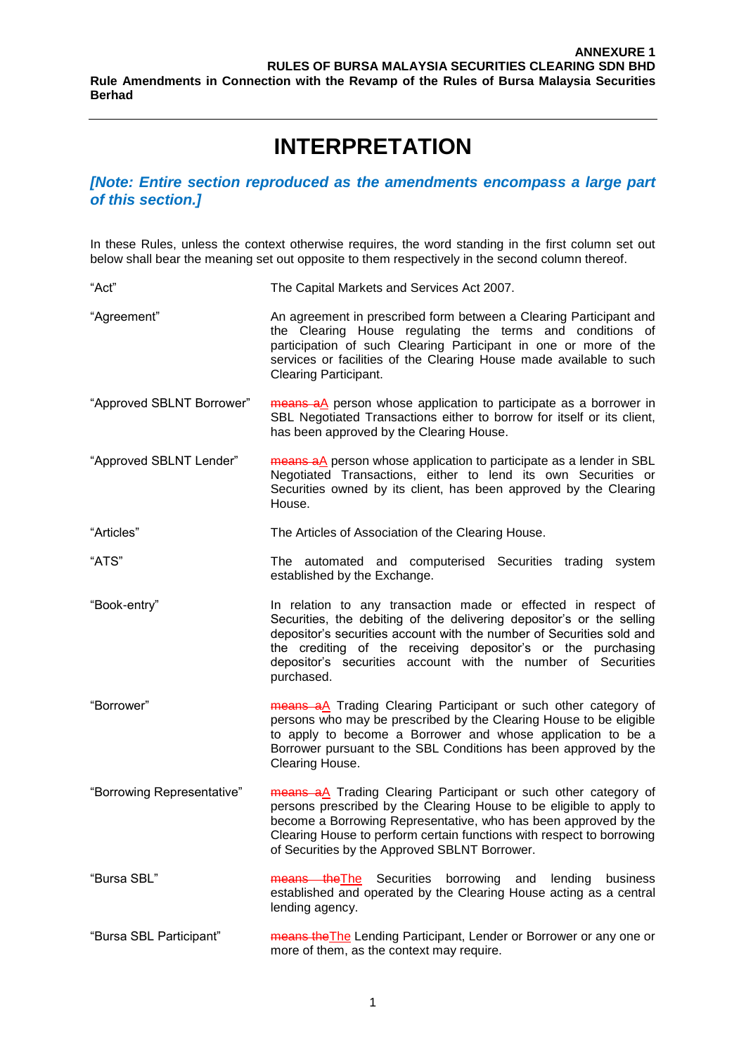## **INTERPRETATION**

### *[Note: Entire section reproduced as the amendments encompass a large part of this section.]*

In these Rules, unless the context otherwise requires, the word standing in the first column set out below shall bear the meaning set out opposite to them respectively in the second column thereof.

| "Act"                      | The Capital Markets and Services Act 2007.                                                                                                                                                                                                                                                                                                                    |
|----------------------------|---------------------------------------------------------------------------------------------------------------------------------------------------------------------------------------------------------------------------------------------------------------------------------------------------------------------------------------------------------------|
| "Agreement"                | An agreement in prescribed form between a Clearing Participant and<br>the Clearing House regulating the terms and conditions of<br>participation of such Clearing Participant in one or more of the<br>services or facilities of the Clearing House made available to such<br><b>Clearing Participant.</b>                                                    |
| "Approved SBLNT Borrower"  | means aA person whose application to participate as a borrower in<br>SBL Negotiated Transactions either to borrow for itself or its client,<br>has been approved by the Clearing House.                                                                                                                                                                       |
| "Approved SBLNT Lender"    | means aA person whose application to participate as a lender in SBL<br>Negotiated Transactions, either to lend its own Securities or<br>Securities owned by its client, has been approved by the Clearing<br>House.                                                                                                                                           |
| "Articles"                 | The Articles of Association of the Clearing House.                                                                                                                                                                                                                                                                                                            |
| "ATS"                      | The automated and computerised Securities trading system<br>established by the Exchange.                                                                                                                                                                                                                                                                      |
| "Book-entry"               | In relation to any transaction made or effected in respect of<br>Securities, the debiting of the delivering depositor's or the selling<br>depositor's securities account with the number of Securities sold and<br>the crediting of the receiving depositor's or the purchasing<br>depositor's securities account with the number of Securities<br>purchased. |
| "Borrower"                 | means aA Trading Clearing Participant or such other category of<br>persons who may be prescribed by the Clearing House to be eligible<br>to apply to become a Borrower and whose application to be a<br>Borrower pursuant to the SBL Conditions has been approved by the<br>Clearing House.                                                                   |
| "Borrowing Representative" | means aA Trading Clearing Participant or such other category of<br>persons prescribed by the Clearing House to be eligible to apply to<br>become a Borrowing Representative, who has been approved by the<br>Clearing House to perform certain functions with respect to borrowing<br>of Securities by the Approved SBLNT Borrower.                           |
| "Bursa SBL"                | means the The Securities<br>borrowing<br>and<br>lending<br>business<br>established and operated by the Clearing House acting as a central<br>lending agency.                                                                                                                                                                                                  |
| "Bursa SBL Participant"    | means the The Lending Participant, Lender or Borrower or any one or<br>more of them, as the context may require.                                                                                                                                                                                                                                              |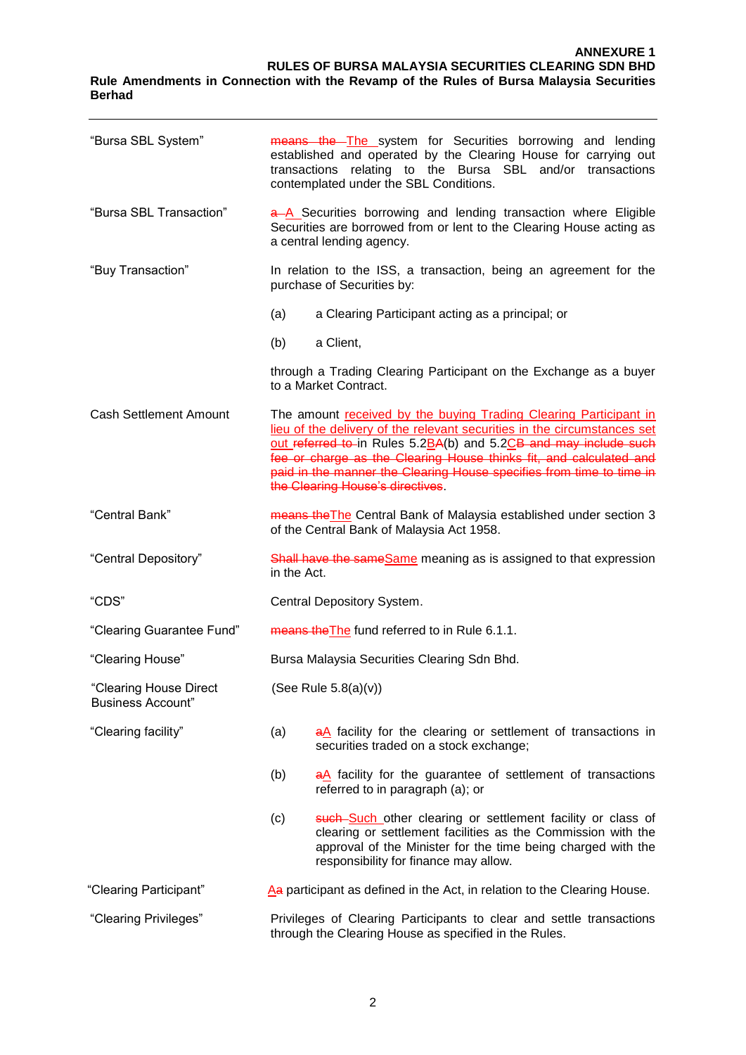#### **ANNEXURE 1 RULES OF BURSA MALAYSIA SECURITIES CLEARING SDN BHD Rule Amendments in Connection with the Revamp of the Rules of Bursa Malaysia Securities Berhad**

| "Bursa SBL System"                                 | means the The system for Securities borrowing and lending<br>established and operated by the Clearing House for carrying out<br>transactions relating to the Bursa SBL and/or transactions<br>contemplated under the SBL Conditions.                                                                                                                                                                |  |
|----------------------------------------------------|-----------------------------------------------------------------------------------------------------------------------------------------------------------------------------------------------------------------------------------------------------------------------------------------------------------------------------------------------------------------------------------------------------|--|
| "Bursa SBL Transaction"                            | a-A Securities borrowing and lending transaction where Eligible<br>Securities are borrowed from or lent to the Clearing House acting as<br>a central lending agency.                                                                                                                                                                                                                                |  |
| "Buy Transaction"                                  | In relation to the ISS, a transaction, being an agreement for the<br>purchase of Securities by:                                                                                                                                                                                                                                                                                                     |  |
|                                                    | (a)<br>a Clearing Participant acting as a principal; or                                                                                                                                                                                                                                                                                                                                             |  |
|                                                    | a Client,<br>(b)                                                                                                                                                                                                                                                                                                                                                                                    |  |
|                                                    | through a Trading Clearing Participant on the Exchange as a buyer<br>to a Market Contract.                                                                                                                                                                                                                                                                                                          |  |
| <b>Cash Settlement Amount</b>                      | The amount received by the buying Trading Clearing Participant in<br>lieu of the delivery of the relevant securities in the circumstances set<br>out referred to in Rules 5.2BA(b) and 5.2CB and may include such<br>fee or charge as the Clearing House thinks fit, and calculated and<br>paid in the manner the Clearing House specifies from time to time in<br>the Clearing House's directives. |  |
| "Central Bank"                                     | means the The Central Bank of Malaysia established under section 3<br>of the Central Bank of Malaysia Act 1958.                                                                                                                                                                                                                                                                                     |  |
| "Central Depository"                               | Shall have the same Same meaning as is assigned to that expression<br>in the Act.                                                                                                                                                                                                                                                                                                                   |  |
| "CDS"                                              | Central Depository System.                                                                                                                                                                                                                                                                                                                                                                          |  |
| "Clearing Guarantee Fund"                          | means the The fund referred to in Rule 6.1.1.                                                                                                                                                                                                                                                                                                                                                       |  |
| "Clearing House"                                   | Bursa Malaysia Securities Clearing Sdn Bhd.                                                                                                                                                                                                                                                                                                                                                         |  |
| "Clearing House Direct<br><b>Business Account"</b> | (See Rule $5.8(a)(v)$ )                                                                                                                                                                                                                                                                                                                                                                             |  |
| "Clearing facility"                                | (a)<br>$\frac{aA}{c}$ facility for the clearing or settlement of transactions in<br>securities traded on a stock exchange;                                                                                                                                                                                                                                                                          |  |
|                                                    | (b)<br>$a\Delta$ facility for the guarantee of settlement of transactions<br>referred to in paragraph (a); or                                                                                                                                                                                                                                                                                       |  |
|                                                    | (c)<br>such Such other clearing or settlement facility or class of<br>clearing or settlement facilities as the Commission with the<br>approval of the Minister for the time being charged with the<br>responsibility for finance may allow.                                                                                                                                                         |  |
| "Clearing Participant"                             | Aa participant as defined in the Act, in relation to the Clearing House.                                                                                                                                                                                                                                                                                                                            |  |
| "Clearing Privileges"                              | Privileges of Clearing Participants to clear and settle transactions<br>through the Clearing House as specified in the Rules.                                                                                                                                                                                                                                                                       |  |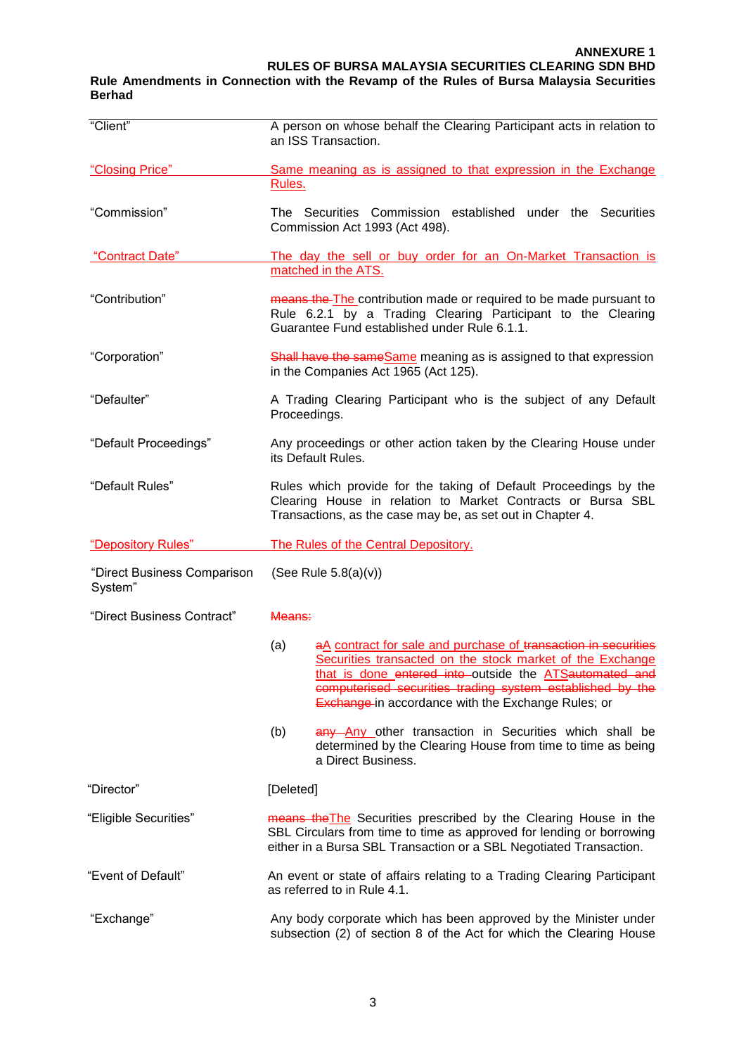#### **Rule Amendments in Connection with the Revamp of the Rules of Bursa Malaysia Securities Berhad**

| "Client"                               | A person on whose behalf the Clearing Participant acts in relation to<br>an ISS Transaction.                                                                                                                                                                                                                           |  |
|----------------------------------------|------------------------------------------------------------------------------------------------------------------------------------------------------------------------------------------------------------------------------------------------------------------------------------------------------------------------|--|
| "Closing Price"                        | Same meaning as is assigned to that expression in the Exchange                                                                                                                                                                                                                                                         |  |
|                                        | Rules.                                                                                                                                                                                                                                                                                                                 |  |
| "Commission"                           | The Securities Commission established under the Securities<br>Commission Act 1993 (Act 498).                                                                                                                                                                                                                           |  |
| "Contract Date"                        | The day the sell or buy order for an On-Market Transaction is<br>matched in the ATS.                                                                                                                                                                                                                                   |  |
| "Contribution"                         | means the The contribution made or required to be made pursuant to<br>Rule 6.2.1 by a Trading Clearing Participant to the Clearing<br>Guarantee Fund established under Rule 6.1.1.                                                                                                                                     |  |
| "Corporation"                          | Shall have the same Same meaning as is assigned to that expression<br>in the Companies Act 1965 (Act 125).                                                                                                                                                                                                             |  |
| "Defaulter"                            | A Trading Clearing Participant who is the subject of any Default<br>Proceedings.                                                                                                                                                                                                                                       |  |
| "Default Proceedings"                  | Any proceedings or other action taken by the Clearing House under<br>its Default Rules.                                                                                                                                                                                                                                |  |
| "Default Rules"                        | Rules which provide for the taking of Default Proceedings by the<br>Clearing House in relation to Market Contracts or Bursa SBL<br>Transactions, as the case may be, as set out in Chapter 4.                                                                                                                          |  |
|                                        |                                                                                                                                                                                                                                                                                                                        |  |
| "Depository Rules"                     | The Rules of the Central Depository.                                                                                                                                                                                                                                                                                   |  |
| "Direct Business Comparison<br>System" | (See Rule $5.8(a)(v)$ )                                                                                                                                                                                                                                                                                                |  |
| "Direct Business Contract"             | Means:                                                                                                                                                                                                                                                                                                                 |  |
|                                        | aA contract for sale and purchase of transaction in securities<br>(a)<br>Securities transacted on the stock market of the Exchange<br>that is done entered into outside the ATSautomated and<br>computerised securities trading system established by the<br><b>Exchange-in accordance with the Exchange Rules; or</b> |  |
|                                        | (b)<br>any Any other transaction in Securities which shall be<br>determined by the Clearing House from time to time as being<br>a Direct Business.                                                                                                                                                                     |  |
| "Director"                             | [Deleted]                                                                                                                                                                                                                                                                                                              |  |
| "Eligible Securities"                  | means the The Securities prescribed by the Clearing House in the<br>SBL Circulars from time to time as approved for lending or borrowing<br>either in a Bursa SBL Transaction or a SBL Negotiated Transaction.                                                                                                         |  |
| "Event of Default"                     | An event or state of affairs relating to a Trading Clearing Participant<br>as referred to in Rule 4.1.                                                                                                                                                                                                                 |  |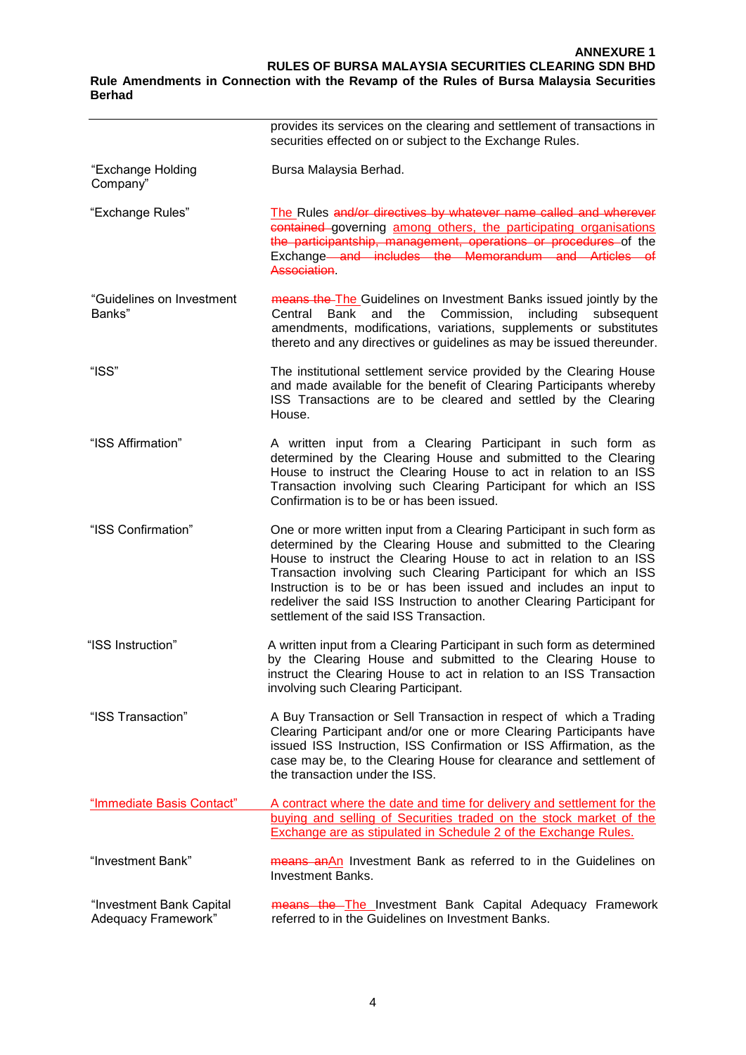#### **Berhad**

|                                                 | provides its services on the clearing and settlement of transactions in<br>securities effected on or subject to the Exchange Rules.                                                                                                                                                                                                                                                                                                                                       |
|-------------------------------------------------|---------------------------------------------------------------------------------------------------------------------------------------------------------------------------------------------------------------------------------------------------------------------------------------------------------------------------------------------------------------------------------------------------------------------------------------------------------------------------|
| "Exchange Holding<br>Company"                   | Bursa Malaysia Berhad.                                                                                                                                                                                                                                                                                                                                                                                                                                                    |
| "Exchange Rules"                                | The Rules and/or directives by whatever name called and wherever<br>contained governing among others, the participating organisations<br>the participantship, management, operations or procedures of the<br>Exchange and includes the Memorandum and Articles of<br><b>Association</b>                                                                                                                                                                                   |
| "Guidelines on Investment<br>Banks"             | means the The Guidelines on Investment Banks issued jointly by the<br>and the Commission,<br>including<br>Bank<br>subsequent<br>Central<br>amendments, modifications, variations, supplements or substitutes<br>thereto and any directives or guidelines as may be issued thereunder.                                                                                                                                                                                     |
| "ISS"                                           | The institutional settlement service provided by the Clearing House<br>and made available for the benefit of Clearing Participants whereby<br>ISS Transactions are to be cleared and settled by the Clearing<br>House.                                                                                                                                                                                                                                                    |
| "ISS Affirmation"                               | A written input from a Clearing Participant in such form as<br>determined by the Clearing House and submitted to the Clearing<br>House to instruct the Clearing House to act in relation to an ISS<br>Transaction involving such Clearing Participant for which an ISS<br>Confirmation is to be or has been issued.                                                                                                                                                       |
| "ISS Confirmation"                              | One or more written input from a Clearing Participant in such form as<br>determined by the Clearing House and submitted to the Clearing<br>House to instruct the Clearing House to act in relation to an ISS<br>Transaction involving such Clearing Participant for which an ISS<br>Instruction is to be or has been issued and includes an input to<br>redeliver the said ISS Instruction to another Clearing Participant for<br>settlement of the said ISS Transaction. |
| "ISS Instruction"                               | A written input from a Clearing Participant in such form as determined<br>by the Clearing House and submitted to the Clearing House to<br>instruct the Clearing House to act in relation to an ISS Transaction<br>involving such Clearing Participant.                                                                                                                                                                                                                    |
| "ISS Transaction"                               | A Buy Transaction or Sell Transaction in respect of which a Trading<br>Clearing Participant and/or one or more Clearing Participants have<br>issued ISS Instruction, ISS Confirmation or ISS Affirmation, as the<br>case may be, to the Clearing House for clearance and settlement of<br>the transaction under the ISS.                                                                                                                                                  |
| "Immediate Basis Contact"                       | A contract where the date and time for delivery and settlement for the<br>buying and selling of Securities traded on the stock market of the<br><b>Exchange are as stipulated in Schedule 2 of the Exchange Rules.</b>                                                                                                                                                                                                                                                    |
| "Investment Bank"                               | means anAn Investment Bank as referred to in the Guidelines on<br><b>Investment Banks.</b>                                                                                                                                                                                                                                                                                                                                                                                |
| "Investment Bank Capital<br>Adequacy Framework" | means the The Investment Bank Capital Adequacy Framework<br>referred to in the Guidelines on Investment Banks.                                                                                                                                                                                                                                                                                                                                                            |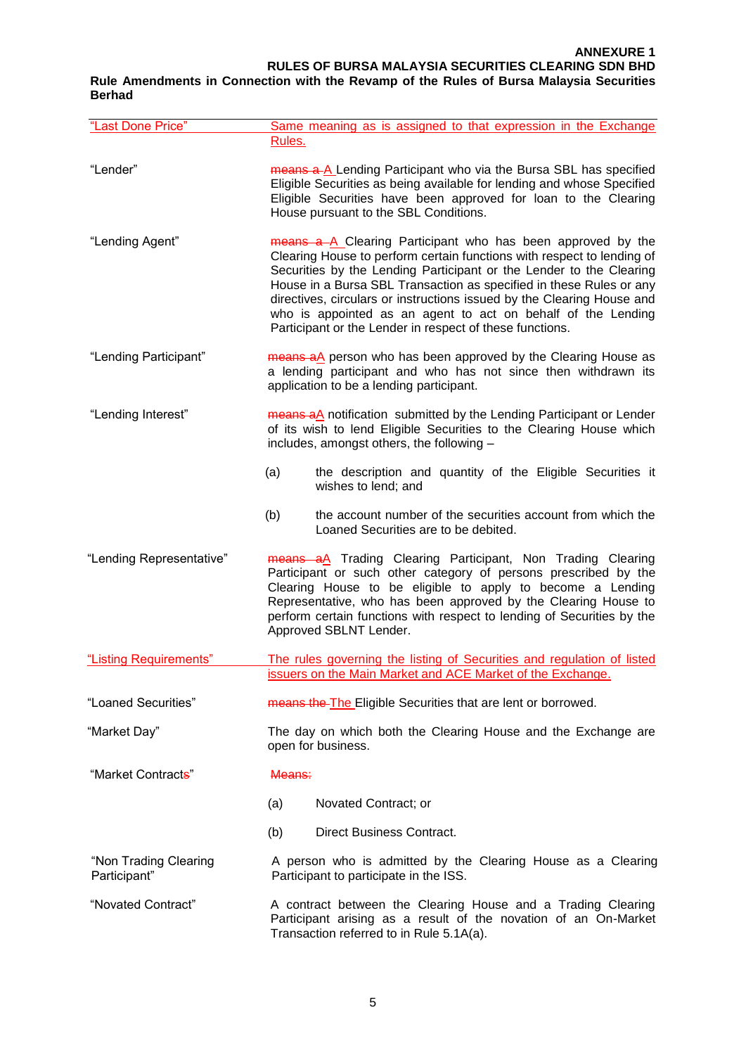**RULES OF BURSA MALAYSIA SECURITIES CLEARING SDN BHD**

#### **Rule Amendments in Connection with the Revamp of the Rules of Bursa Malaysia Securities Berhad**

| "Last Done Price"                     | Same meaning as is assigned to that expression in the Exchange                                                                                                                                                                                                                                                                                                                                                                                                                            |
|---------------------------------------|-------------------------------------------------------------------------------------------------------------------------------------------------------------------------------------------------------------------------------------------------------------------------------------------------------------------------------------------------------------------------------------------------------------------------------------------------------------------------------------------|
|                                       | Rules.                                                                                                                                                                                                                                                                                                                                                                                                                                                                                    |
| "Lender"                              | means a A Lending Participant who via the Bursa SBL has specified<br>Eligible Securities as being available for lending and whose Specified<br>Eligible Securities have been approved for loan to the Clearing<br>House pursuant to the SBL Conditions.                                                                                                                                                                                                                                   |
| "Lending Agent"                       | means a A Clearing Participant who has been approved by the<br>Clearing House to perform certain functions with respect to lending of<br>Securities by the Lending Participant or the Lender to the Clearing<br>House in a Bursa SBL Transaction as specified in these Rules or any<br>directives, circulars or instructions issued by the Clearing House and<br>who is appointed as an agent to act on behalf of the Lending<br>Participant or the Lender in respect of these functions. |
| "Lending Participant"                 | means aA person who has been approved by the Clearing House as<br>a lending participant and who has not since then withdrawn its<br>application to be a lending participant.                                                                                                                                                                                                                                                                                                              |
| "Lending Interest"                    | means aA notification submitted by the Lending Participant or Lender<br>of its wish to lend Eligible Securities to the Clearing House which<br>includes, amongst others, the following -                                                                                                                                                                                                                                                                                                  |
|                                       | the description and quantity of the Eligible Securities it<br>(a)<br>wishes to lend; and                                                                                                                                                                                                                                                                                                                                                                                                  |
|                                       | (b)<br>the account number of the securities account from which the<br>Loaned Securities are to be debited.                                                                                                                                                                                                                                                                                                                                                                                |
| "Lending Representative"              | means aA Trading Clearing Participant, Non Trading Clearing<br>Participant or such other category of persons prescribed by the<br>Clearing House to be eligible to apply to become a Lending<br>Representative, who has been approved by the Clearing House to<br>perform certain functions with respect to lending of Securities by the<br>Approved SBLNT Lender.                                                                                                                        |
| "Listing Requirements"                | The rules governing the listing of Securities and regulation of listed                                                                                                                                                                                                                                                                                                                                                                                                                    |
|                                       | issuers on the Main Market and ACE Market of the Exchange.                                                                                                                                                                                                                                                                                                                                                                                                                                |
| "Loaned Securities"                   | means the The Eligible Securities that are lent or borrowed.                                                                                                                                                                                                                                                                                                                                                                                                                              |
| "Market Day"                          | The day on which both the Clearing House and the Exchange are<br>open for business.                                                                                                                                                                                                                                                                                                                                                                                                       |
| "Market Contracts"                    | Means:                                                                                                                                                                                                                                                                                                                                                                                                                                                                                    |
|                                       | (a)<br>Novated Contract; or                                                                                                                                                                                                                                                                                                                                                                                                                                                               |
|                                       | Direct Business Contract.<br>(b)                                                                                                                                                                                                                                                                                                                                                                                                                                                          |
| "Non Trading Clearing<br>Participant" | A person who is admitted by the Clearing House as a Clearing<br>Participant to participate in the ISS.                                                                                                                                                                                                                                                                                                                                                                                    |
| "Novated Contract"                    | A contract between the Clearing House and a Trading Clearing<br>Participant arising as a result of the novation of an On-Market<br>Transaction referred to in Rule 5.1A(a).                                                                                                                                                                                                                                                                                                               |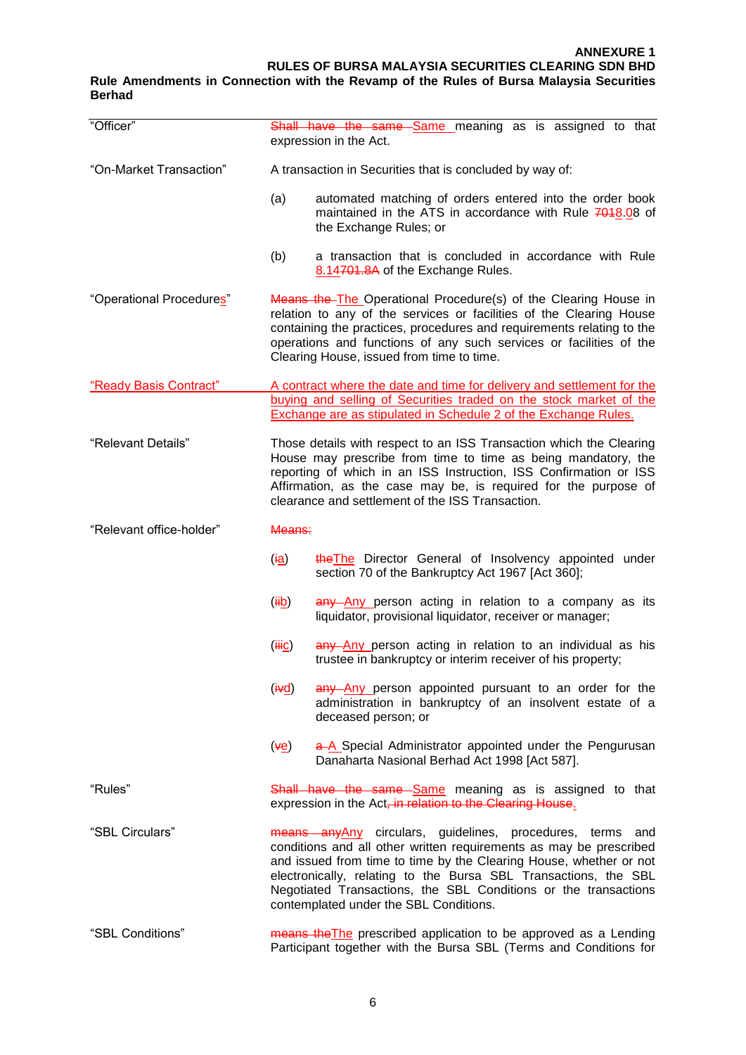#### **Rule Amendments in Connection with the Revamp of the Rules of Bursa Malaysia Securities Berhad**

| "Officer"                | <b>Shall have the same Same meaning as is assigned to that</b><br>expression in the Act.                                                                                                                                                                                                                                                                                               |  |
|--------------------------|----------------------------------------------------------------------------------------------------------------------------------------------------------------------------------------------------------------------------------------------------------------------------------------------------------------------------------------------------------------------------------------|--|
| "On-Market Transaction"  | A transaction in Securities that is concluded by way of:                                                                                                                                                                                                                                                                                                                               |  |
|                          | (a)<br>automated matching of orders entered into the order book<br>maintained in the ATS in accordance with Rule 7018.08 of<br>the Exchange Rules; or                                                                                                                                                                                                                                  |  |
|                          | (b)<br>a transaction that is concluded in accordance with Rule<br>8.14701.8A of the Exchange Rules.                                                                                                                                                                                                                                                                                    |  |
| "Operational Procedures" | Means the The Operational Procedure(s) of the Clearing House in<br>relation to any of the services or facilities of the Clearing House<br>containing the practices, procedures and requirements relating to the<br>operations and functions of any such services or facilities of the<br>Clearing House, issued from time to time.                                                     |  |
| "Ready Basis Contract"   | A contract where the date and time for delivery and settlement for the                                                                                                                                                                                                                                                                                                                 |  |
|                          | buying and selling of Securities traded on the stock market of the<br><b>Exchange are as stipulated in Schedule 2 of the Exchange Rules.</b>                                                                                                                                                                                                                                           |  |
| "Relevant Details"       | Those details with respect to an ISS Transaction which the Clearing<br>House may prescribe from time to time as being mandatory, the<br>reporting of which in an ISS Instruction, ISS Confirmation or ISS<br>Affirmation, as the case may be, is required for the purpose of<br>clearance and settlement of the ISS Transaction.                                                       |  |
| "Relevant office-holder" | Means:                                                                                                                                                                                                                                                                                                                                                                                 |  |
|                          | the The Director General of Insolvency appointed under<br>(i <u>a</u> )<br>section 70 of the Bankruptcy Act 1967 [Act 360];                                                                                                                                                                                                                                                            |  |
|                          | $(\ddot{\mathbf{H}}\mathbf{b})$<br>any Any person acting in relation to a company as its<br>liquidator, provisional liquidator, receiver or manager;                                                                                                                                                                                                                                   |  |
|                          | any Any person acting in relation to an individual as his<br>$(\ddot{\text{Hic}})$<br>trustee in bankruptcy or interim receiver of his property;                                                                                                                                                                                                                                       |  |
|                          | $(\frac{iv}{d})$<br>any Any person appointed pursuant to an order for the<br>administration in bankruptcy of an insolvent estate of a<br>deceased person; or                                                                                                                                                                                                                           |  |
|                          | ( <del>v</del> e)<br>a-A Special Administrator appointed under the Pengurusan<br>Danaharta Nasional Berhad Act 1998 [Act 587].                                                                                                                                                                                                                                                         |  |
| "Rules"                  | Shall have the same Same meaning as is assigned to that<br>expression in the Act, in relation to the Clearing House.                                                                                                                                                                                                                                                                   |  |
| "SBL Circulars"          | means any Any circulars, guidelines, procedures, terms and<br>conditions and all other written requirements as may be prescribed<br>and issued from time to time by the Clearing House, whether or not<br>electronically, relating to the Bursa SBL Transactions, the SBL<br>Negotiated Transactions, the SBL Conditions or the transactions<br>contemplated under the SBL Conditions. |  |
| "SBL Conditions"         | means the The prescribed application to be approved as a Lending<br>Participant together with the Bursa SBL (Terms and Conditions for                                                                                                                                                                                                                                                  |  |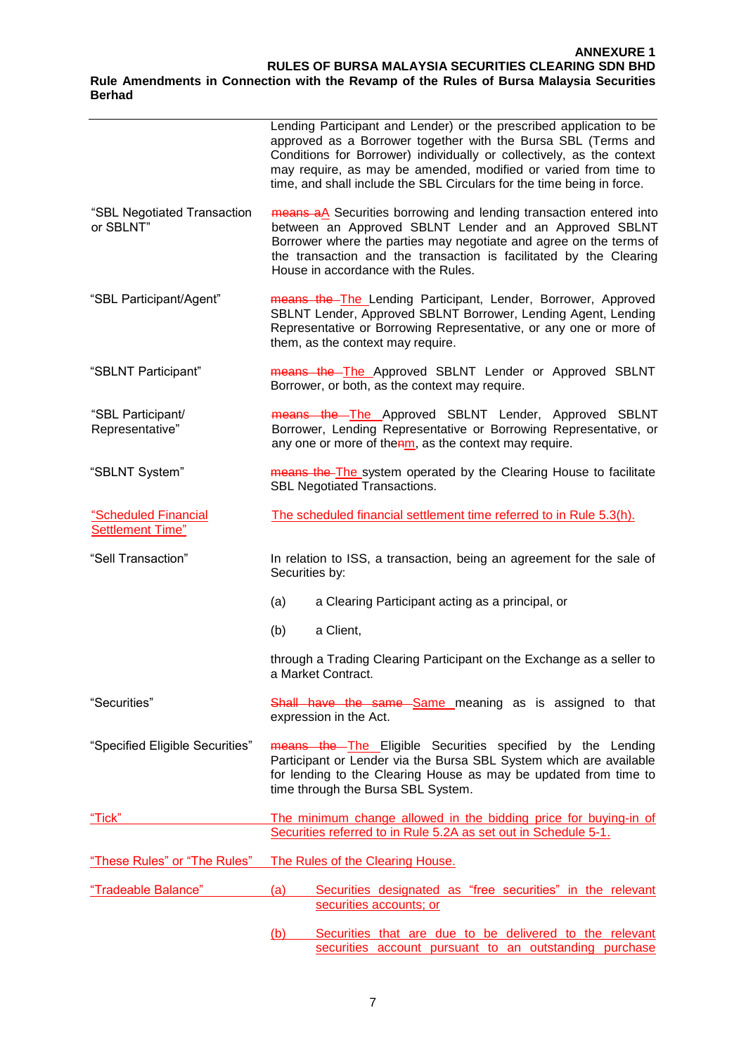#### **ANNEXURE 1 RULES OF BURSA MALAYSIA SECURITIES CLEARING SDN BHD Rule Amendments in Connection with the Revamp of the Rules of Bursa Malaysia Securities**

**Berhad**

|                                                 | Lending Participant and Lender) or the prescribed application to be<br>approved as a Borrower together with the Bursa SBL (Terms and<br>Conditions for Borrower) individually or collectively, as the context<br>may require, as may be amended, modified or varied from time to<br>time, and shall include the SBL Circulars for the time being in force. |  |
|-------------------------------------------------|------------------------------------------------------------------------------------------------------------------------------------------------------------------------------------------------------------------------------------------------------------------------------------------------------------------------------------------------------------|--|
| "SBL Negotiated Transaction<br>or SBLNT"        | means aA Securities borrowing and lending transaction entered into<br>between an Approved SBLNT Lender and an Approved SBLNT<br>Borrower where the parties may negotiate and agree on the terms of<br>the transaction and the transaction is facilitated by the Clearing<br>House in accordance with the Rules.                                            |  |
| "SBL Participant/Agent"                         | means the The Lending Participant, Lender, Borrower, Approved<br>SBLNT Lender, Approved SBLNT Borrower, Lending Agent, Lending<br>Representative or Borrowing Representative, or any one or more of<br>them, as the context may require.                                                                                                                   |  |
| "SBLNT Participant"                             | means the The Approved SBLNT Lender or Approved SBLNT<br>Borrower, or both, as the context may require.                                                                                                                                                                                                                                                    |  |
| "SBL Participant/<br>Representative"            | means the The Approved SBLNT Lender, Approved SBLNT<br>Borrower, Lending Representative or Borrowing Representative, or<br>any one or more of thenm, as the context may require.                                                                                                                                                                           |  |
| "SBLNT System"                                  | means the The system operated by the Clearing House to facilitate<br><b>SBL Negotiated Transactions.</b>                                                                                                                                                                                                                                                   |  |
| "Scheduled Financial<br><b>Settlement Time"</b> | The scheduled financial settlement time referred to in Rule 5.3(h).                                                                                                                                                                                                                                                                                        |  |
| "Sell Transaction"                              | In relation to ISS, a transaction, being an agreement for the sale of<br>Securities by:                                                                                                                                                                                                                                                                    |  |
|                                                 | (a)<br>a Clearing Participant acting as a principal, or                                                                                                                                                                                                                                                                                                    |  |
|                                                 | (b)<br>a Client,                                                                                                                                                                                                                                                                                                                                           |  |
|                                                 | through a Trading Clearing Participant on the Exchange as a seller to<br>a Market Contract.                                                                                                                                                                                                                                                                |  |
| "Securities"                                    | <b>Shall have the same Same meaning as is assigned to that</b><br>expression in the Act.                                                                                                                                                                                                                                                                   |  |
| "Specified Eligible Securities"                 | means the The Eligible Securities specified by the Lending<br>Participant or Lender via the Bursa SBL System which are available<br>for lending to the Clearing House as may be updated from time to<br>time through the Bursa SBL System.                                                                                                                 |  |
| "Tick"                                          | The minimum change allowed in the bidding price for buying-in of<br>Securities referred to in Rule 5.2A as set out in Schedule 5-1.                                                                                                                                                                                                                        |  |
| "These Rules" or "The Rules"                    | The Rules of the Clearing House.                                                                                                                                                                                                                                                                                                                           |  |
| "Tradeable Balance"                             | (a)<br>Securities designated as "free securities" in the relevant                                                                                                                                                                                                                                                                                          |  |
|                                                 | securities accounts; or                                                                                                                                                                                                                                                                                                                                    |  |
|                                                 | Securities that are due to be delivered to the relevant<br>(b)                                                                                                                                                                                                                                                                                             |  |

securities account pursuant to an outstanding purchase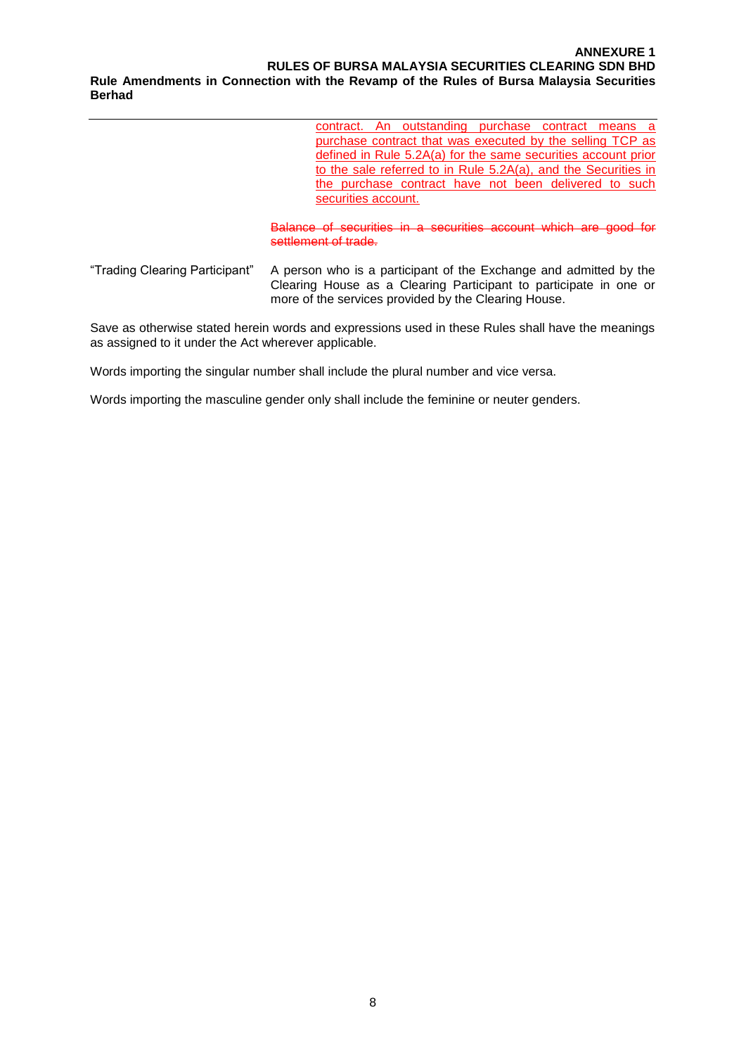#### **ANNEXURE 1 RULES OF BURSA MALAYSIA SECURITIES CLEARING SDN BHD Rule Amendments in Connection with the Revamp of the Rules of Bursa Malaysia Securities Berhad**

contract. An outstanding purchase contract means a purchase contract that was executed by the selling TCP as defined in Rule 5.2A(a) for the same securities account prior to the sale referred to in Rule 5.2A(a), and the Securities in the purchase contract have not been delivered to such securities account.

Balance of securities in a securities account which are good for settlement of trade.

―Trading Clearing Participant‖ A person who is a participant of the Exchange and admitted by the Clearing House as a Clearing Participant to participate in one or more of the services provided by the Clearing House.

Save as otherwise stated herein words and expressions used in these Rules shall have the meanings as assigned to it under the Act wherever applicable.

Words importing the singular number shall include the plural number and vice versa.

Words importing the masculine gender only shall include the feminine or neuter genders.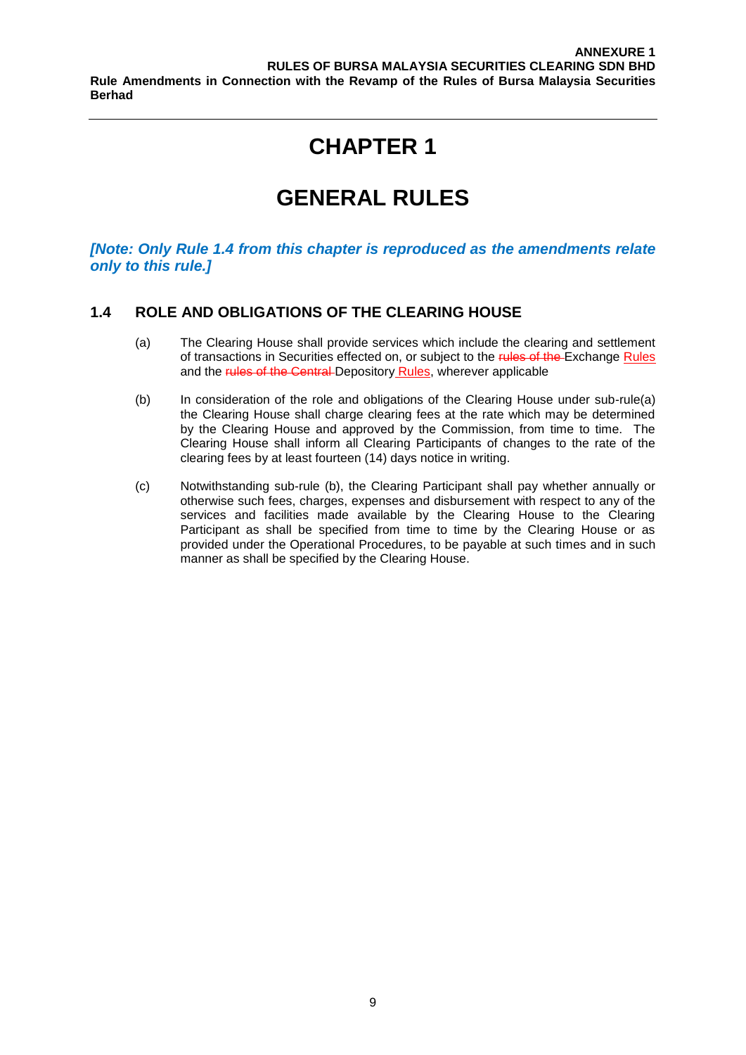# **GENERAL RULES**

*[Note: Only Rule 1.4 from this chapter is reproduced as the amendments relate only to this rule.]*

#### **1.4 ROLE AND OBLIGATIONS OF THE CLEARING HOUSE**

- (a) The Clearing House shall provide services which include the clearing and settlement of transactions in Securities effected on, or subject to the rules of the Exchange Rules and the rules of the Central Depository Rules, wherever applicable
- (b) In consideration of the role and obligations of the Clearing House under sub-rule(a) the Clearing House shall charge clearing fees at the rate which may be determined by the Clearing House and approved by the Commission, from time to time. The Clearing House shall inform all Clearing Participants of changes to the rate of the clearing fees by at least fourteen (14) days notice in writing.
- (c) Notwithstanding sub-rule (b), the Clearing Participant shall pay whether annually or otherwise such fees, charges, expenses and disbursement with respect to any of the services and facilities made available by the Clearing House to the Clearing Participant as shall be specified from time to time by the Clearing House or as provided under the Operational Procedures, to be payable at such times and in such manner as shall be specified by the Clearing House.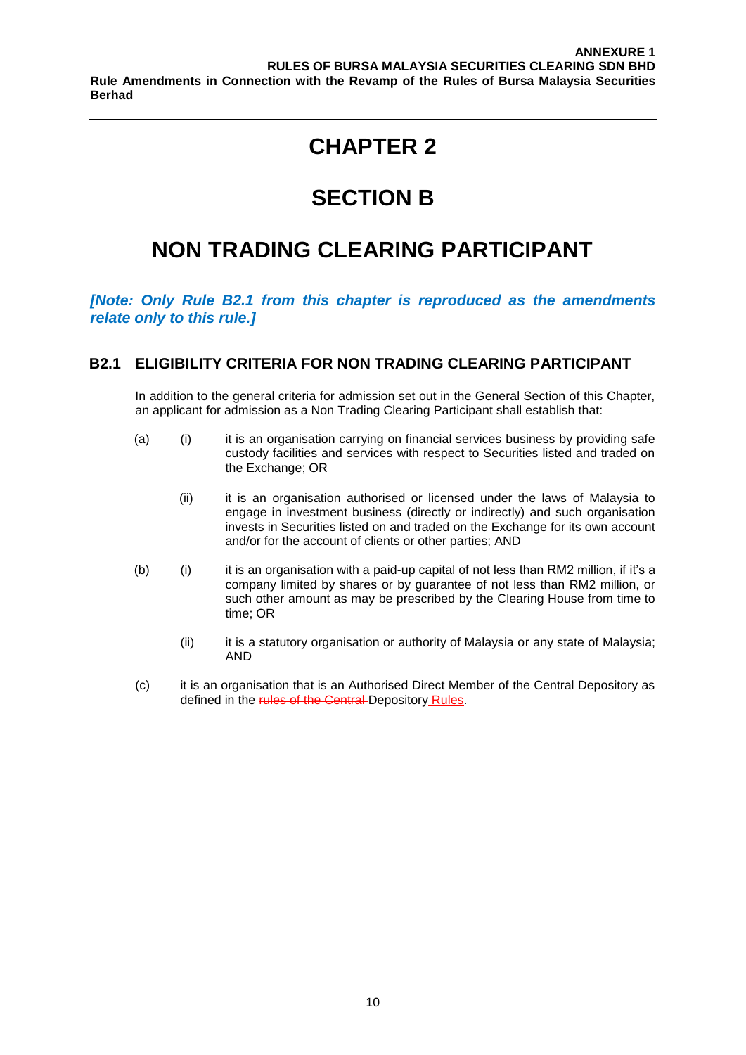# **SECTION B**

# **NON TRADING CLEARING PARTICIPANT**

*[Note: Only Rule B2.1 from this chapter is reproduced as the amendments relate only to this rule.]*

### **B2.1 ELIGIBILITY CRITERIA FOR NON TRADING CLEARING PARTICIPANT**

In addition to the general criteria for admission set out in the General Section of this Chapter, an applicant for admission as a Non Trading Clearing Participant shall establish that:

- (a) (i) it is an organisation carrying on financial services business by providing safe custody facilities and services with respect to Securities listed and traded on the Exchange; OR
	- (ii) it is an organisation authorised or licensed under the laws of Malaysia to engage in investment business (directly or indirectly) and such organisation invests in Securities listed on and traded on the Exchange for its own account and/or for the account of clients or other parties; AND
- (b) (i) it is an organisation with a paid-up capital of not less than RM2 million, if it's a company limited by shares or by guarantee of not less than RM2 million, or such other amount as may be prescribed by the Clearing House from time to time; OR
	- (ii) it is a statutory organisation or authority of Malaysia or any state of Malaysia; AND
- (c) it is an organisation that is an Authorised Direct Member of the Central Depository as defined in the rules of the Central Depository Rules.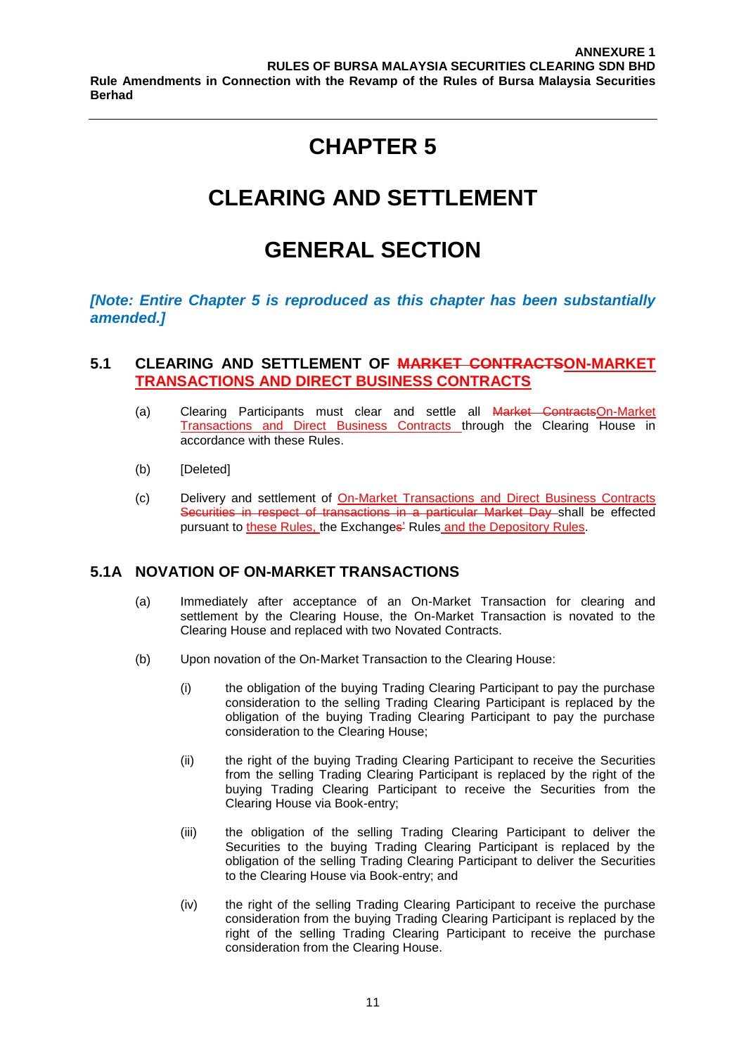# **CLEARING AND SETTLEMENT**

# **GENERAL SECTION**

### *[Note: Entire Chapter 5 is reproduced as this chapter has been substantially amended.]*

### **5.1 CLEARING AND SETTLEMENT OF MARKET CONTRACTSON-MARKET TRANSACTIONS AND DIRECT BUSINESS CONTRACTS**

- (a) Clearing Participants must clear and settle all Market ContractsOn-Market Transactions and Direct Business Contracts through the Clearing House in accordance with these Rules.
- (b) [Deleted]
- (c) Delivery and settlement of On-Market Transactions and Direct Business Contracts Securities in respect of transactions in a particular Market Day shall be effected pursuant to these Rules, the Exchanges' Rules and the Depository Rules.

### **5.1A NOVATION OF ON-MARKET TRANSACTIONS**

- (a) Immediately after acceptance of an On-Market Transaction for clearing and settlement by the Clearing House, the On-Market Transaction is novated to the Clearing House and replaced with two Novated Contracts.
- (b) Upon novation of the On-Market Transaction to the Clearing House:
	- (i) the obligation of the buying Trading Clearing Participant to pay the purchase consideration to the selling Trading Clearing Participant is replaced by the obligation of the buying Trading Clearing Participant to pay the purchase consideration to the Clearing House;
	- (ii) the right of the buying Trading Clearing Participant to receive the Securities from the selling Trading Clearing Participant is replaced by the right of the buying Trading Clearing Participant to receive the Securities from the Clearing House via Book-entry;
	- (iii) the obligation of the selling Trading Clearing Participant to deliver the Securities to the buying Trading Clearing Participant is replaced by the obligation of the selling Trading Clearing Participant to deliver the Securities to the Clearing House via Book-entry; and
	- (iv) the right of the selling Trading Clearing Participant to receive the purchase consideration from the buying Trading Clearing Participant is replaced by the right of the selling Trading Clearing Participant to receive the purchase consideration from the Clearing House.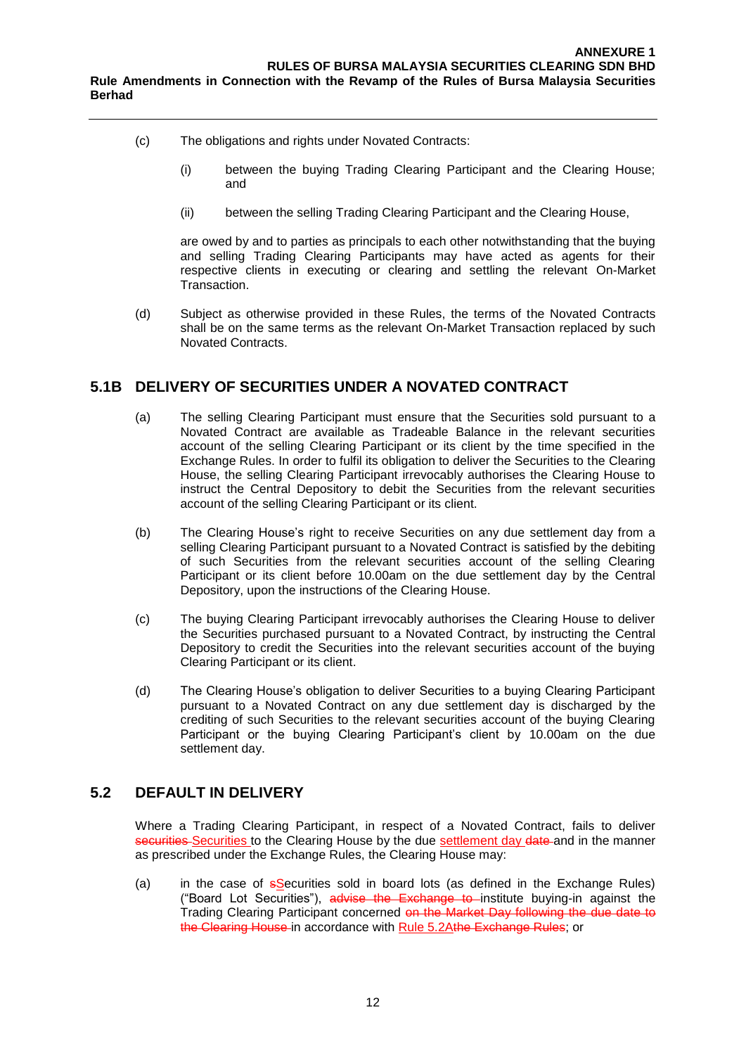- (c) The obligations and rights under Novated Contracts:
	- (i) between the buying Trading Clearing Participant and the Clearing House; and
	- (ii) between the selling Trading Clearing Participant and the Clearing House,

are owed by and to parties as principals to each other notwithstanding that the buying and selling Trading Clearing Participants may have acted as agents for their respective clients in executing or clearing and settling the relevant On-Market Transaction.

(d) Subject as otherwise provided in these Rules, the terms of the Novated Contracts shall be on the same terms as the relevant On-Market Transaction replaced by such Novated Contracts.

### **5.1B DELIVERY OF SECURITIES UNDER A NOVATED CONTRACT**

- (a) The selling Clearing Participant must ensure that the Securities sold pursuant to a Novated Contract are available as Tradeable Balance in the relevant securities account of the selling Clearing Participant or its client by the time specified in the Exchange Rules. In order to fulfil its obligation to deliver the Securities to the Clearing House, the selling Clearing Participant irrevocably authorises the Clearing House to instruct the Central Depository to debit the Securities from the relevant securities account of the selling Clearing Participant or its client.
- (b) The Clearing House's right to receive Securities on any due settlement day from a selling Clearing Participant pursuant to a Novated Contract is satisfied by the debiting of such Securities from the relevant securities account of the selling Clearing Participant or its client before 10.00am on the due settlement day by the Central Depository, upon the instructions of the Clearing House.
- (c) The buying Clearing Participant irrevocably authorises the Clearing House to deliver the Securities purchased pursuant to a Novated Contract, by instructing the Central Depository to credit the Securities into the relevant securities account of the buying Clearing Participant or its client.
- (d) The Clearing House's obligation to deliver Securities to a buying Clearing Participant pursuant to a Novated Contract on any due settlement day is discharged by the crediting of such Securities to the relevant securities account of the buying Clearing Participant or the buying Clearing Participant's client by 10.00am on the due settlement day.

### **5.2 DEFAULT IN DELIVERY**

Where a Trading Clearing Participant, in respect of a Novated Contract, fails to deliver securities Securities to the Clearing House by the due settlement day date and in the manner as prescribed under the Exchange Rules, the Clearing House may:

(a) in the case of  $s$ Securities sold in board lots (as defined in the Exchange Rules) ("Board Lot Securities"), advise the Exchange to institute buying-in against the Trading Clearing Participant concerned on the Market Day following the due date to the Clearing House in accordance with Rule 5.2Athe Exchange Rules; or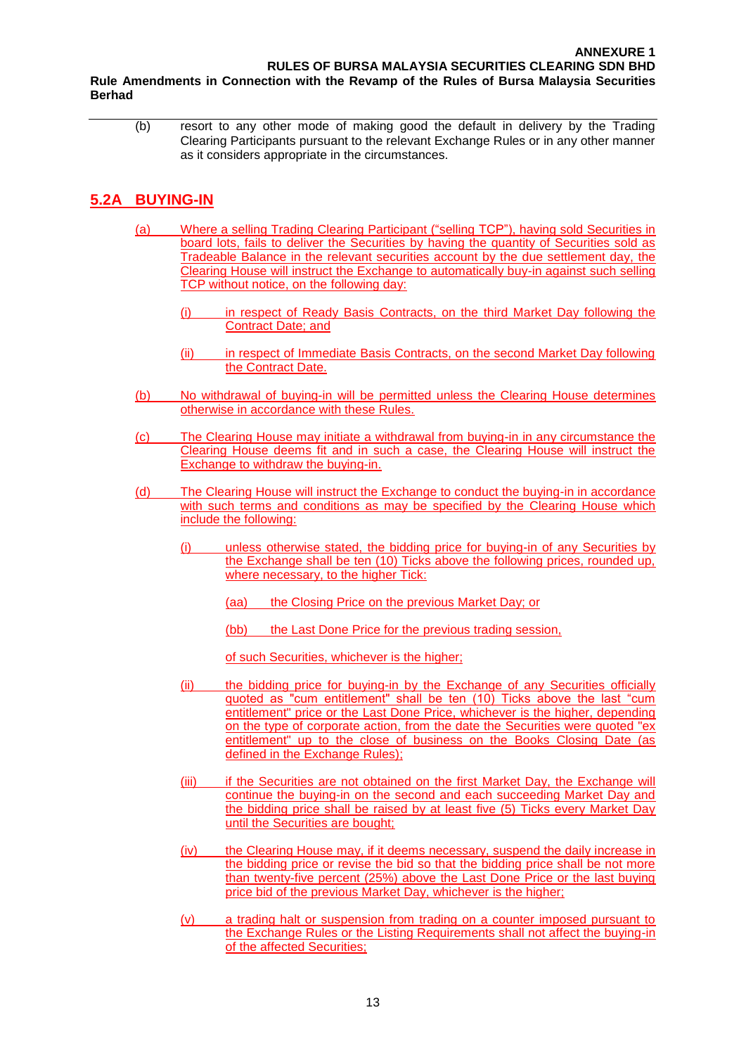(b) resort to any other mode of making good the default in delivery by the Trading Clearing Participants pursuant to the relevant Exchange Rules or in any other manner as it considers appropriate in the circumstances.

### **5.2A BUYING-IN**

**Berhad**

- (a) Where a selling Trading Clearing Participant ("selling TCP"), having sold Securities in board lots, fails to deliver the Securities by having the quantity of Securities sold as Tradeable Balance in the relevant securities account by the due settlement day, the Clearing House will instruct the Exchange to automatically buy-in against such selling TCP without notice, on the following day:
	- (i) in respect of Ready Basis Contracts, on the third Market Day following the Contract Date; and
	- (ii) in respect of Immediate Basis Contracts, on the second Market Day following the Contract Date.
- (b) No withdrawal of buying-in will be permitted unless the Clearing House determines otherwise in accordance with these Rules.
- (c) The Clearing House may initiate a withdrawal from buying-in in any circumstance the Clearing House deems fit and in such a case, the Clearing House will instruct the Exchange to withdraw the buying-in.
- (d) The Clearing House will instruct the Exchange to conduct the buying-in in accordance with such terms and conditions as may be specified by the Clearing House which include the following:
	- (i) unless otherwise stated, the bidding price for buying-in of any Securities by the Exchange shall be ten (10) Ticks above the following prices, rounded up, where necessary, to the higher Tick:
		- (aa) the Closing Price on the previous Market Day; or
		- (bb) the Last Done Price for the previous trading session,
		- of such Securities, whichever is the higher;
	- (ii) the bidding price for buying-in by the Exchange of any Securities officially quoted as "cum entitlement" shall be ten (10) Ticks above the last "cum entitlement" price or the Last Done Price, whichever is the higher, depending on the type of corporate action, from the date the Securities were quoted "ex entitlement" up to the close of business on the Books Closing Date (as defined in the Exchange Rules);
	- (iii) if the Securities are not obtained on the first Market Day, the Exchange will continue the buying-in on the second and each succeeding Market Day and the bidding price shall be raised by at least five (5) Ticks every Market Day until the Securities are bought;
	- (iv) the Clearing House may, if it deems necessary, suspend the daily increase in the bidding price or revise the bid so that the bidding price shall be not more than twenty-five percent (25%) above the Last Done Price or the last buying price bid of the previous Market Day, whichever is the higher;
	- (v) a trading halt or suspension from trading on a counter imposed pursuant to the Exchange Rules or the Listing Requirements shall not affect the buying-in of the affected Securities;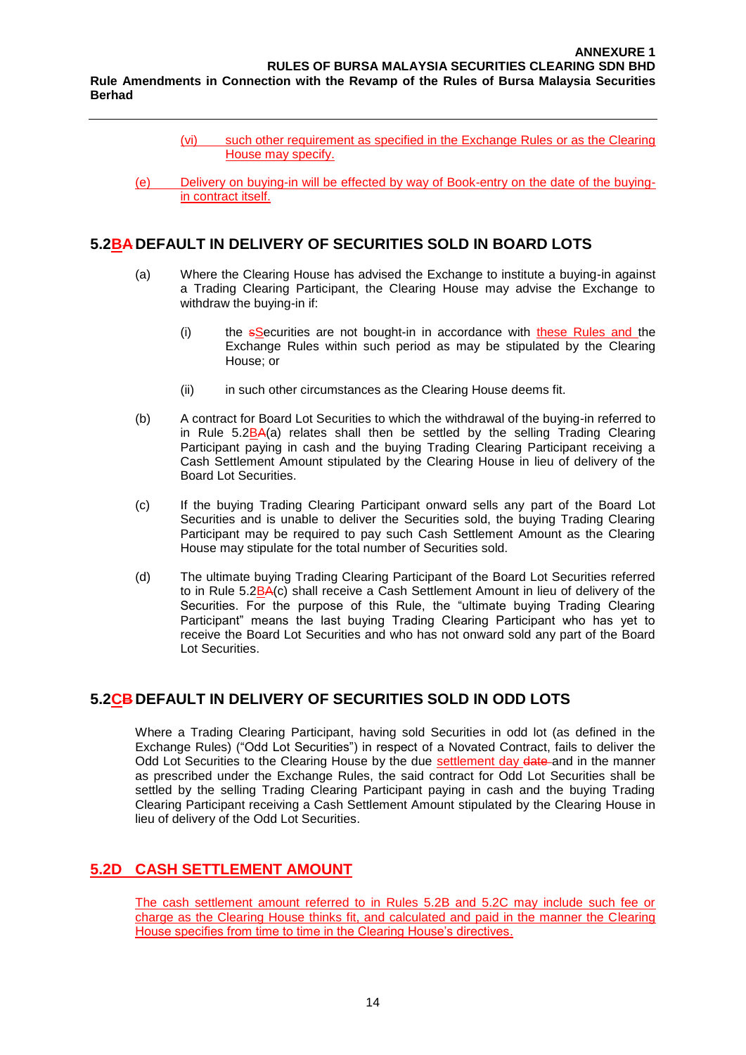- (vi) such other requirement as specified in the Exchange Rules or as the Clearing House may specify.
- (e) Delivery on buying-in will be effected by way of Book-entry on the date of the buyingin contract itself.

#### **5.2BA DEFAULT IN DELIVERY OF SECURITIES SOLD IN BOARD LOTS**

**Berhad**

- (a) Where the Clearing House has advised the Exchange to institute a buying-in against a Trading Clearing Participant, the Clearing House may advise the Exchange to withdraw the buying-in if:
	- $(i)$  the  $s$ Securities are not bought-in in accordance with these Rules and the Exchange Rules within such period as may be stipulated by the Clearing House; or
	- (ii) in such other circumstances as the Clearing House deems fit.
- (b) A contract for Board Lot Securities to which the withdrawal of the buying-in referred to in Rule 5.2BA(a) relates shall then be settled by the selling Trading Clearing Participant paying in cash and the buying Trading Clearing Participant receiving a Cash Settlement Amount stipulated by the Clearing House in lieu of delivery of the Board Lot Securities.
- (c) If the buying Trading Clearing Participant onward sells any part of the Board Lot Securities and is unable to deliver the Securities sold, the buying Trading Clearing Participant may be required to pay such Cash Settlement Amount as the Clearing House may stipulate for the total number of Securities sold.
- (d) The ultimate buying Trading Clearing Participant of the Board Lot Securities referred to in Rule 5.2BA(c) shall receive a Cash Settlement Amount in lieu of delivery of the Securities. For the purpose of this Rule, the "ultimate buying Trading Clearing Participant" means the last buying Trading Clearing Participant who has yet to receive the Board Lot Securities and who has not onward sold any part of the Board Lot Securities.

### **5.2CB DEFAULT IN DELIVERY OF SECURITIES SOLD IN ODD LOTS**

Where a Trading Clearing Participant, having sold Securities in odd lot (as defined in the Exchange Rules) ("Odd Lot Securities") in respect of a Novated Contract, fails to deliver the Odd Lot Securities to the Clearing House by the due settlement day date and in the manner as prescribed under the Exchange Rules, the said contract for Odd Lot Securities shall be settled by the selling Trading Clearing Participant paying in cash and the buying Trading Clearing Participant receiving a Cash Settlement Amount stipulated by the Clearing House in lieu of delivery of the Odd Lot Securities.

### **5.2D CASH SETTLEMENT AMOUNT**

The cash settlement amount referred to in Rules 5.2B and 5.2C may include such fee or charge as the Clearing House thinks fit, and calculated and paid in the manner the Clearing House specifies from time to time in the Clearing House's directives.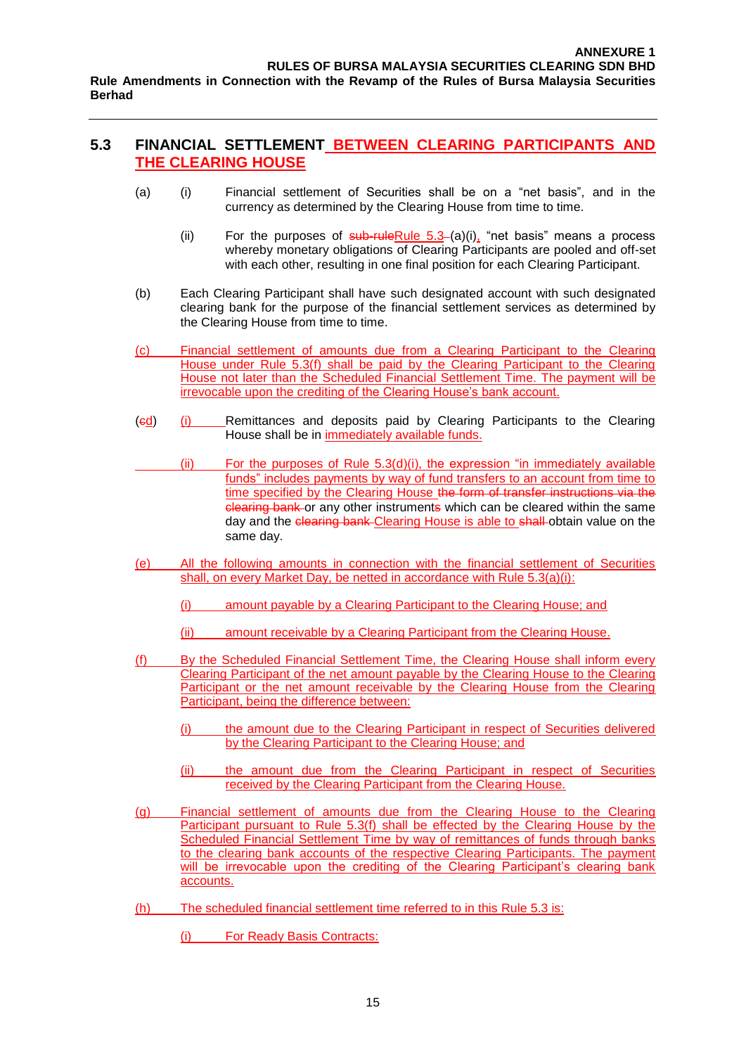### **5.3 FINANCIAL SETTLEMENT BETWEEN CLEARING PARTICIPANTS AND THE CLEARING HOUSE**

- (a) (i) Financial settlement of Securities shall be on a "net basis", and in the currency as determined by the Clearing House from time to time.
	- (ii) For the purposes of  $sub$ -ruleRule 5.3–(a)(i), "net basis" means a process whereby monetary obligations of Clearing Participants are pooled and off-set with each other, resulting in one final position for each Clearing Participant.
- (b) Each Clearing Participant shall have such designated account with such designated clearing bank for the purpose of the financial settlement services as determined by the Clearing House from time to time.
- (c) Financial settlement of amounts due from a Clearing Participant to the Clearing House under Rule 5.3(f) shall be paid by the Clearing Participant to the Clearing House not later than the Scheduled Financial Settlement Time. The payment will be irrevocable upon the crediting of the Clearing House's bank account.
- (cd) (i) Remittances and deposits paid by Clearing Participants to the Clearing House shall be in immediately available funds.
- $(iii)$  For the purposes of Rule 5.3(d)(i), the expression "in immediately available funds" includes payments by way of fund transfers to an account from time to time specified by the Clearing House the form of transfer instructions via the clearing bank or any other instruments which can be cleared within the same day and the clearing bank Clearing House is able to shall obtain value on the same day.
- (e) All the following amounts in connection with the financial settlement of Securities shall, on every Market Day, be netted in accordance with Rule 5.3(a)(i):
	- (i) amount payable by a Clearing Participant to the Clearing House; and
	- (ii) amount receivable by a Clearing Participant from the Clearing House.
- (f) By the Scheduled Financial Settlement Time, the Clearing House shall inform every Clearing Participant of the net amount payable by the Clearing House to the Clearing Participant or the net amount receivable by the Clearing House from the Clearing Participant, being the difference between:
	- (i) the amount due to the Clearing Participant in respect of Securities delivered by the Clearing Participant to the Clearing House; and
	- (ii) the amount due from the Clearing Participant in respect of Securities received by the Clearing Participant from the Clearing House.
- (g) Financial settlement of amounts due from the Clearing House to the Clearing Participant pursuant to Rule 5.3(f) shall be effected by the Clearing House by the Scheduled Financial Settlement Time by way of remittances of funds through banks to the clearing bank accounts of the respective Clearing Participants. The payment will be irrevocable upon the crediting of the Clearing Participant's clearing bank accounts.
- (h) The scheduled financial settlement time referred to in this Rule 5.3 is:
	- (i) For Ready Basis Contracts: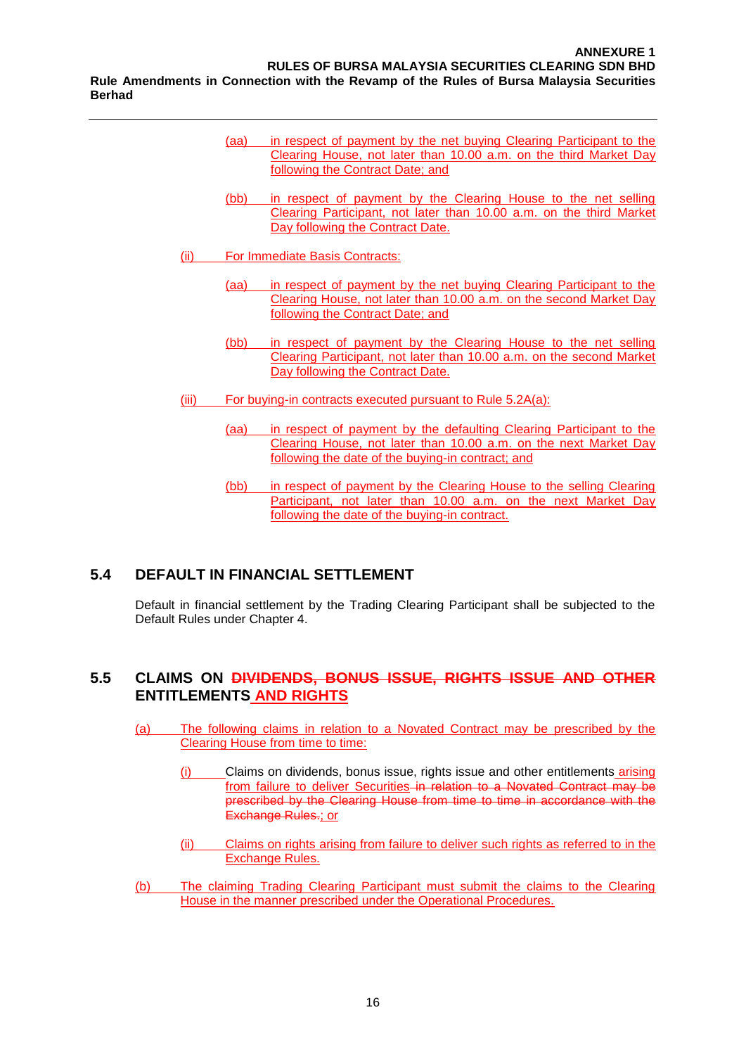- (aa) in respect of payment by the net buying Clearing Participant to the Clearing House, not later than 10.00 a.m. on the third Market Day following the Contract Date; and
- (bb) in respect of payment by the Clearing House to the net selling Clearing Participant, not later than 10.00 a.m. on the third Market Day following the Contract Date.
- (ii) For Immediate Basis Contracts:
	- (aa) in respect of payment by the net buying Clearing Participant to the Clearing House, not later than 10.00 a.m. on the second Market Day following the Contract Date; and
	- (bb) in respect of payment by the Clearing House to the net selling Clearing Participant, not later than 10.00 a.m. on the second Market Day following the Contract Date.
- (iii) For buying-in contracts executed pursuant to Rule 5.2A(a):
	- (aa) in respect of payment by the defaulting Clearing Participant to the Clearing House, not later than 10.00 a.m. on the next Market Day following the date of the buying-in contract; and
	- (bb) in respect of payment by the Clearing House to the selling Clearing Participant, not later than 10.00 a.m. on the next Market Day following the date of the buying-in contract.

### **5.4 DEFAULT IN FINANCIAL SETTLEMENT**

Default in financial settlement by the Trading Clearing Participant shall be subjected to the Default Rules under Chapter 4.

### **5.5 CLAIMS ON DIVIDENDS, BONUS ISSUE, RIGHTS ISSUE AND OTHER ENTITLEMENTS AND RIGHTS**

- (a) The following claims in relation to a Novated Contract may be prescribed by the Clearing House from time to time:
	- (i) Claims on dividends, bonus issue, rights issue and other entitlements arising from failure to deliver Securities in relation to a Novated Contract may be prescribed by the Clearing House from time to time in accordance with the Exchange Rules.; or
	- (ii) Claims on rights arising from failure to deliver such rights as referred to in the Exchange Rules.
- (b) The claiming Trading Clearing Participant must submit the claims to the Clearing House in the manner prescribed under the Operational Procedures.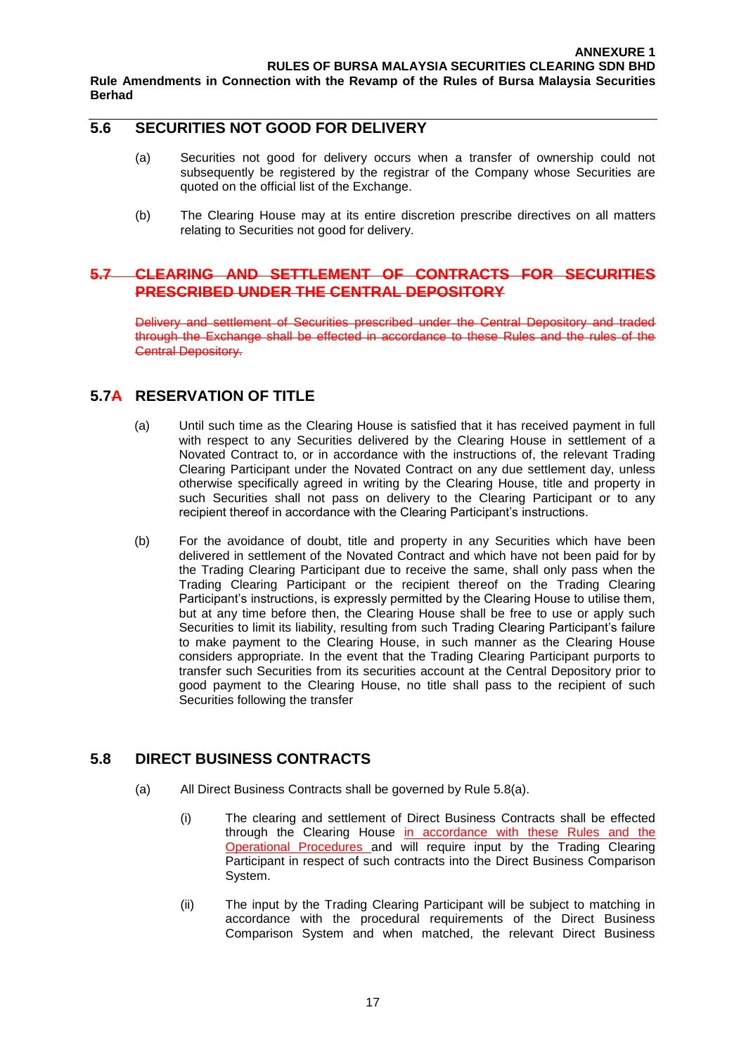**5.6 SECURITIES NOT GOOD FOR DELIVERY**

- (a) Securities not good for delivery occurs when a transfer of ownership could not subsequently be registered by the registrar of the Company whose Securities are quoted on the official list of the Exchange.
- (b) The Clearing House may at its entire discretion prescribe directives on all matters relating to Securities not good for delivery.

#### **5.7 CLEARING AND SETTLEMENT OF CONTRACTS FOR SECURITIES PRESCRIBED UNDER THE CENTRAL DEPOSITORY**

Delivery and settlement of Securities prescribed under the Central Depository and traded through the Exchange shall be effected in accordance to these Rules and the rules of the Central Depository.

### **5.7A RESERVATION OF TITLE**

**Berhad**

- (a) Until such time as the Clearing House is satisfied that it has received payment in full with respect to any Securities delivered by the Clearing House in settlement of a Novated Contract to, or in accordance with the instructions of, the relevant Trading Clearing Participant under the Novated Contract on any due settlement day, unless otherwise specifically agreed in writing by the Clearing House, title and property in such Securities shall not pass on delivery to the Clearing Participant or to any recipient thereof in accordance with the Clearing Participant's instructions.
- (b) For the avoidance of doubt, title and property in any Securities which have been delivered in settlement of the Novated Contract and which have not been paid for by the Trading Clearing Participant due to receive the same, shall only pass when the Trading Clearing Participant or the recipient thereof on the Trading Clearing Participant's instructions, is expressly permitted by the Clearing House to utilise them, but at any time before then, the Clearing House shall be free to use or apply such Securities to limit its liability, resulting from such Trading Clearing Participant's failure to make payment to the Clearing House, in such manner as the Clearing House considers appropriate. In the event that the Trading Clearing Participant purports to transfer such Securities from its securities account at the Central Depository prior to good payment to the Clearing House, no title shall pass to the recipient of such Securities following the transfer

#### **5.8 DIRECT BUSINESS CONTRACTS**

- (a) All Direct Business Contracts shall be governed by Rule 5.8(a).
	- (i) The clearing and settlement of Direct Business Contracts shall be effected through the Clearing House in accordance with these Rules and the Operational Procedures and will require input by the Trading Clearing Participant in respect of such contracts into the Direct Business Comparison System.
	- (ii) The input by the Trading Clearing Participant will be subject to matching in accordance with the procedural requirements of the Direct Business Comparison System and when matched, the relevant Direct Business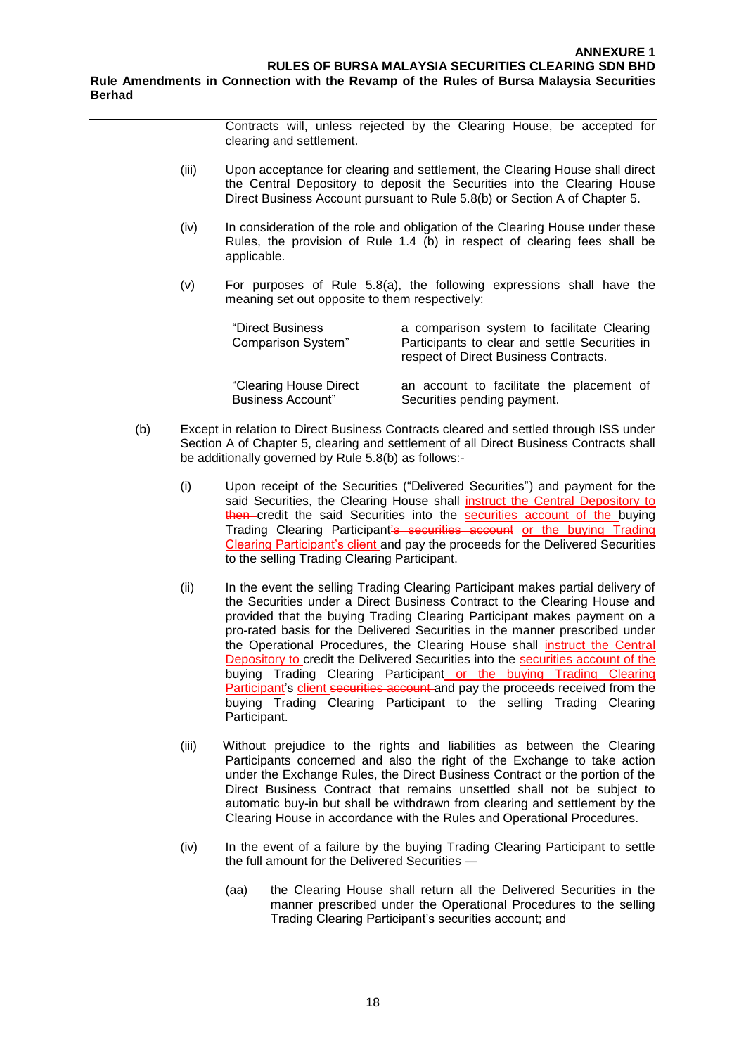Contracts will, unless rejected by the Clearing House, be accepted for clearing and settlement.

- (iii) Upon acceptance for clearing and settlement, the Clearing House shall direct the Central Depository to deposit the Securities into the Clearing House Direct Business Account pursuant to Rule 5.8(b) or Section A of Chapter 5.
- (iv) In consideration of the role and obligation of the Clearing House under these Rules, the provision of Rule 1.4 (b) in respect of clearing fees shall be applicable.
- (v) For purposes of Rule 5.8(a), the following expressions shall have the meaning set out opposite to them respectively:

| "Direct Business<br>Comparison System" | a comparison system to facilitate Clearing<br>Participants to clear and settle Securities in<br>respect of Direct Business Contracts. |
|----------------------------------------|---------------------------------------------------------------------------------------------------------------------------------------|
| "Clearing House Direct                 | an account to facilitate the placement of                                                                                             |
| <b>Business Account"</b>               | Securities pending payment.                                                                                                           |

- (b) Except in relation to Direct Business Contracts cleared and settled through ISS under Section A of Chapter 5, clearing and settlement of all Direct Business Contracts shall be additionally governed by Rule 5.8(b) as follows:-
	- (i) Upon receipt of the Securities ("Delivered Securities") and payment for the said Securities, the Clearing House shall instruct the Central Depository to then credit the said Securities into the securities account of the buying Trading Clearing Participant's securities account or the buying Trading Clearing Participant's client and pay the proceeds for the Delivered Securities to the selling Trading Clearing Participant.
	- (ii) In the event the selling Trading Clearing Participant makes partial delivery of the Securities under a Direct Business Contract to the Clearing House and provided that the buying Trading Clearing Participant makes payment on a pro-rated basis for the Delivered Securities in the manner prescribed under the Operational Procedures, the Clearing House shall instruct the Central Depository to credit the Delivered Securities into the securities account of the buying Trading Clearing Participant or the buying Trading Clearing Participant's client securities account and pay the proceeds received from the buying Trading Clearing Participant to the selling Trading Clearing Participant.
	- (iii) Without prejudice to the rights and liabilities as between the Clearing Participants concerned and also the right of the Exchange to take action under the Exchange Rules, the Direct Business Contract or the portion of the Direct Business Contract that remains unsettled shall not be subject to automatic buy-in but shall be withdrawn from clearing and settlement by the Clearing House in accordance with the Rules and Operational Procedures.
	- (iv) In the event of a failure by the buying Trading Clearing Participant to settle the full amount for the Delivered Securities —
		- (aa) the Clearing House shall return all the Delivered Securities in the manner prescribed under the Operational Procedures to the selling Trading Clearing Participant's securities account; and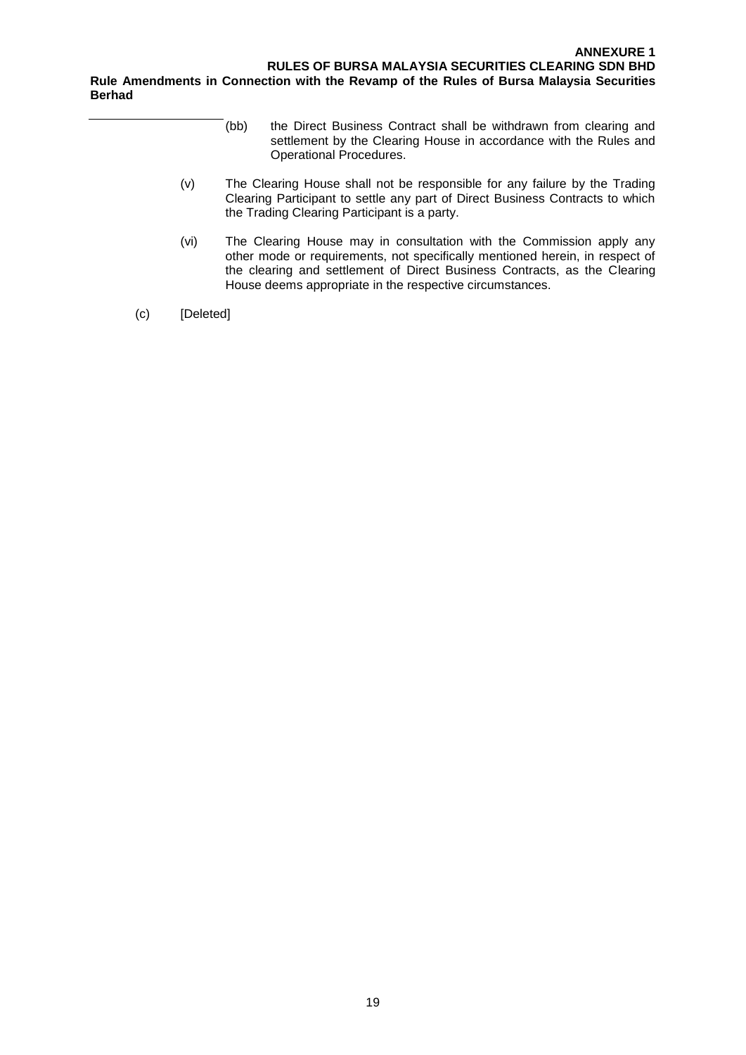- (bb) the Direct Business Contract shall be withdrawn from clearing and settlement by the Clearing House in accordance with the Rules and Operational Procedures.
- (v) The Clearing House shall not be responsible for any failure by the Trading Clearing Participant to settle any part of Direct Business Contracts to which the Trading Clearing Participant is a party.
- (vi) The Clearing House may in consultation with the Commission apply any other mode or requirements, not specifically mentioned herein, in respect of the clearing and settlement of Direct Business Contracts, as the Clearing House deems appropriate in the respective circumstances.
- (c) [Deleted]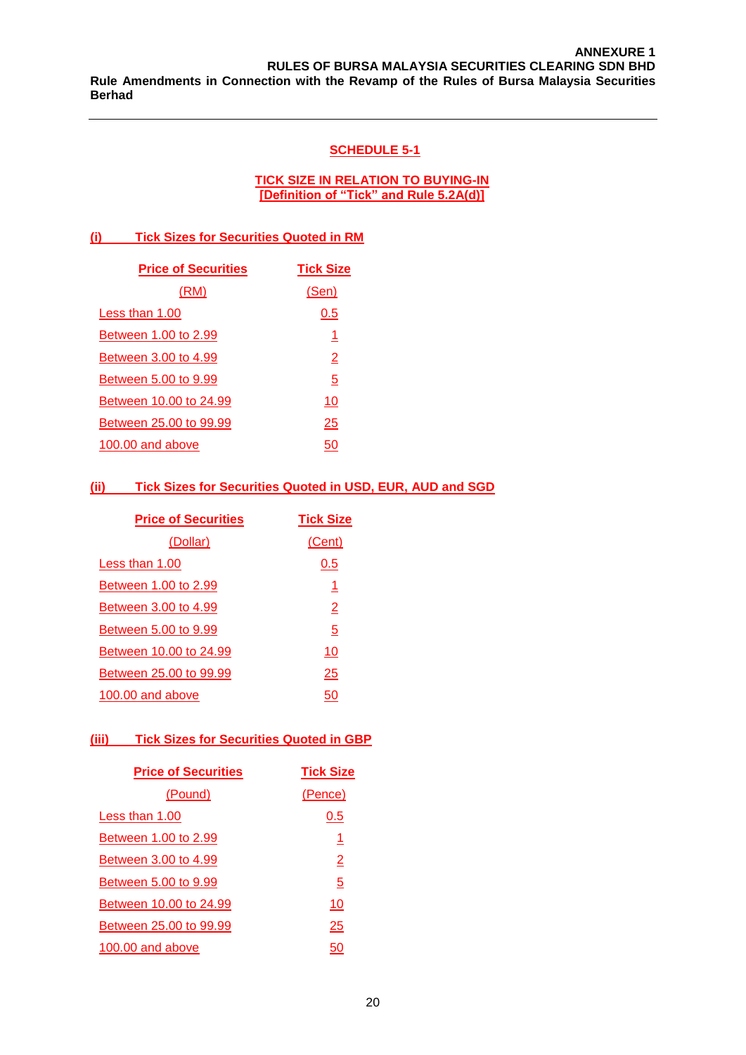#### **SCHEDULE 5-1**

#### **TICK SIZE IN RELATION TO BUYING-IN [Definition of "Tick" and Rule 5.2A(d)]**

#### **(i) Tick Sizes for Securities Quoted in RM**

| <b>Price of Securities</b> | <b>Tick Size</b> |
|----------------------------|------------------|
| (RM)                       | (Sen)            |
| Less than 1.00             | 0.5              |
| Between 1.00 to 2.99       | 1                |
| Between 3.00 to 4.99       | $\overline{2}$   |
| Between 5.00 to 9.99       | $\overline{5}$   |
| Between 10.00 to 24.99     | 10               |
| Between 25.00 to 99.99     | <u> 25</u>       |
| 100.00 and above           | 50               |

#### **(ii) Tick Sizes for Securities Quoted in USD, EUR, AUD and SGD**

| <b>Price of Securities</b> | <b>Tick Size</b>        |
|----------------------------|-------------------------|
| <u>(Dollar)</u>            | (Cent)                  |
| Less than 1.00             | 0.5                     |
| Between 1.00 to 2.99       | 1                       |
| Between 3.00 to 4.99       | $\overline{\mathsf{2}}$ |
| Between 5.00 to 9.99       | $\overline{5}$          |
| Between 10.00 to 24.99     | 10                      |
| Between 25,00 to 99.99     | 25                      |
| 100.00 and above           | 50                      |
|                            |                         |

#### **(iii) Tick Sizes for Securities Quoted in GBP**

| <b>Price of Securities</b> | <b>Tick Size</b> |
|----------------------------|------------------|
| (Pound)                    | (Pence)          |
| Less than 1.00             | 0.5              |
| Between 1.00 to 2.99       | <u> 1</u>        |
| Between 3.00 to 4.99       | $\overline{2}$   |
| Between 5.00 to 9.99       | $\overline{5}$   |
| Between 10.00 to 24.99     | 10               |
| Between 25,00 to 99.99     | 25               |
| 100.00 and above           | 50               |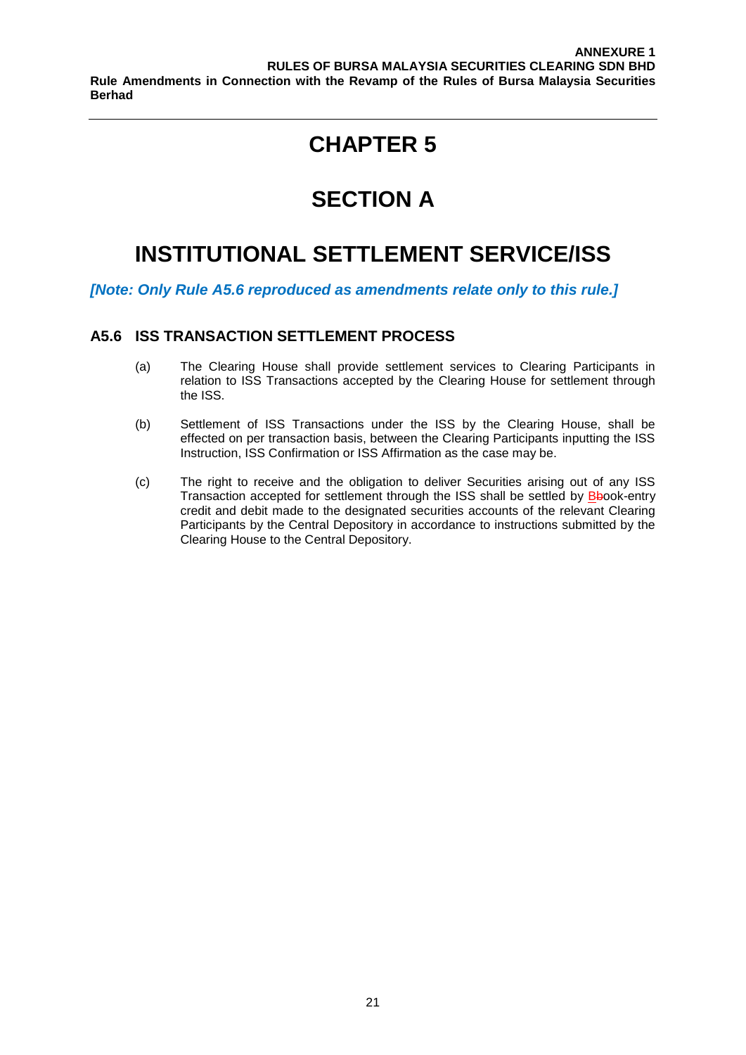# **SECTION A**

## **INSTITUTIONAL SETTLEMENT SERVICE/ISS**

*[Note: Only Rule A5.6 reproduced as amendments relate only to this rule.]*

#### **A5.6 ISS TRANSACTION SETTLEMENT PROCESS**

- (a) The Clearing House shall provide settlement services to Clearing Participants in relation to ISS Transactions accepted by the Clearing House for settlement through the ISS.
- (b) Settlement of ISS Transactions under the ISS by the Clearing House, shall be effected on per transaction basis, between the Clearing Participants inputting the ISS Instruction, ISS Confirmation or ISS Affirmation as the case may be.
- (c) The right to receive and the obligation to deliver Securities arising out of any ISS Transaction accepted for settlement through the ISS shall be settled by **Bbook-entry** credit and debit made to the designated securities accounts of the relevant Clearing Participants by the Central Depository in accordance to instructions submitted by the Clearing House to the Central Depository.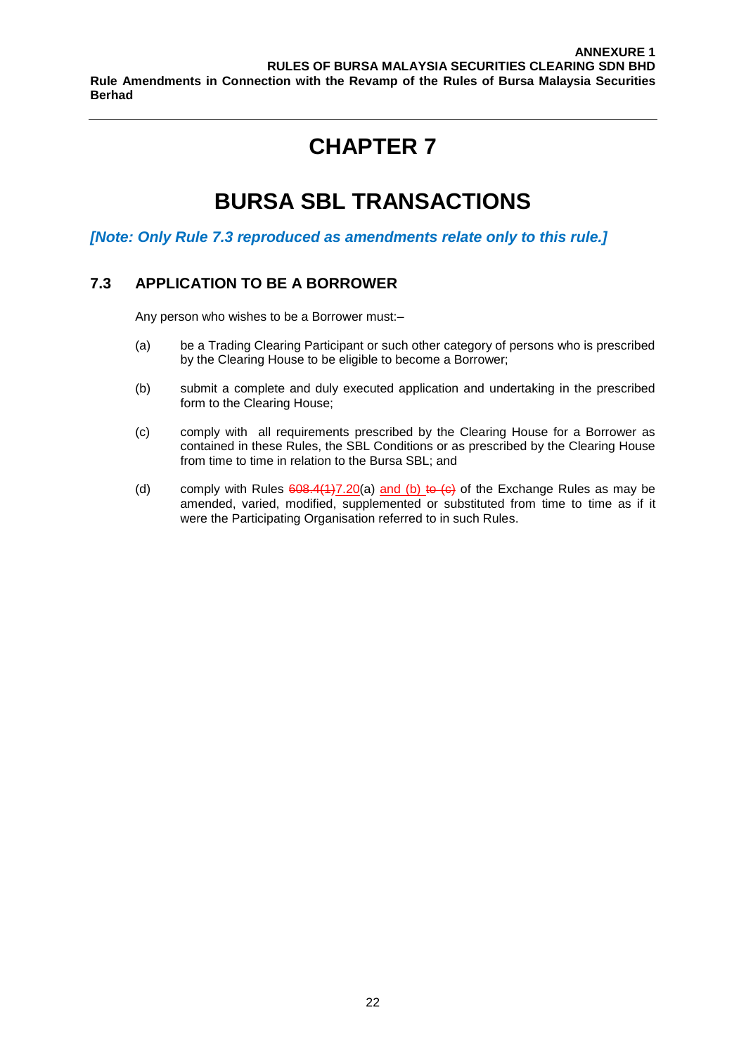# **BURSA SBL TRANSACTIONS**

#### *[Note: Only Rule 7.3 reproduced as amendments relate only to this rule.]*

### **7.3 APPLICATION TO BE A BORROWER**

Any person who wishes to be a Borrower must:–

- (a) be a Trading Clearing Participant or such other category of persons who is prescribed by the Clearing House to be eligible to become a Borrower;
- (b) submit a complete and duly executed application and undertaking in the prescribed form to the Clearing House;
- (c) comply with all requirements prescribed by the Clearing House for a Borrower as contained in these Rules, the SBL Conditions or as prescribed by the Clearing House from time to time in relation to the Bursa SBL; and
- (d) comply with Rules  $608.4(1)7.20(a)$  and (b) to  $(e)$  of the Exchange Rules as may be amended, varied, modified, supplemented or substituted from time to time as if it were the Participating Organisation referred to in such Rules.